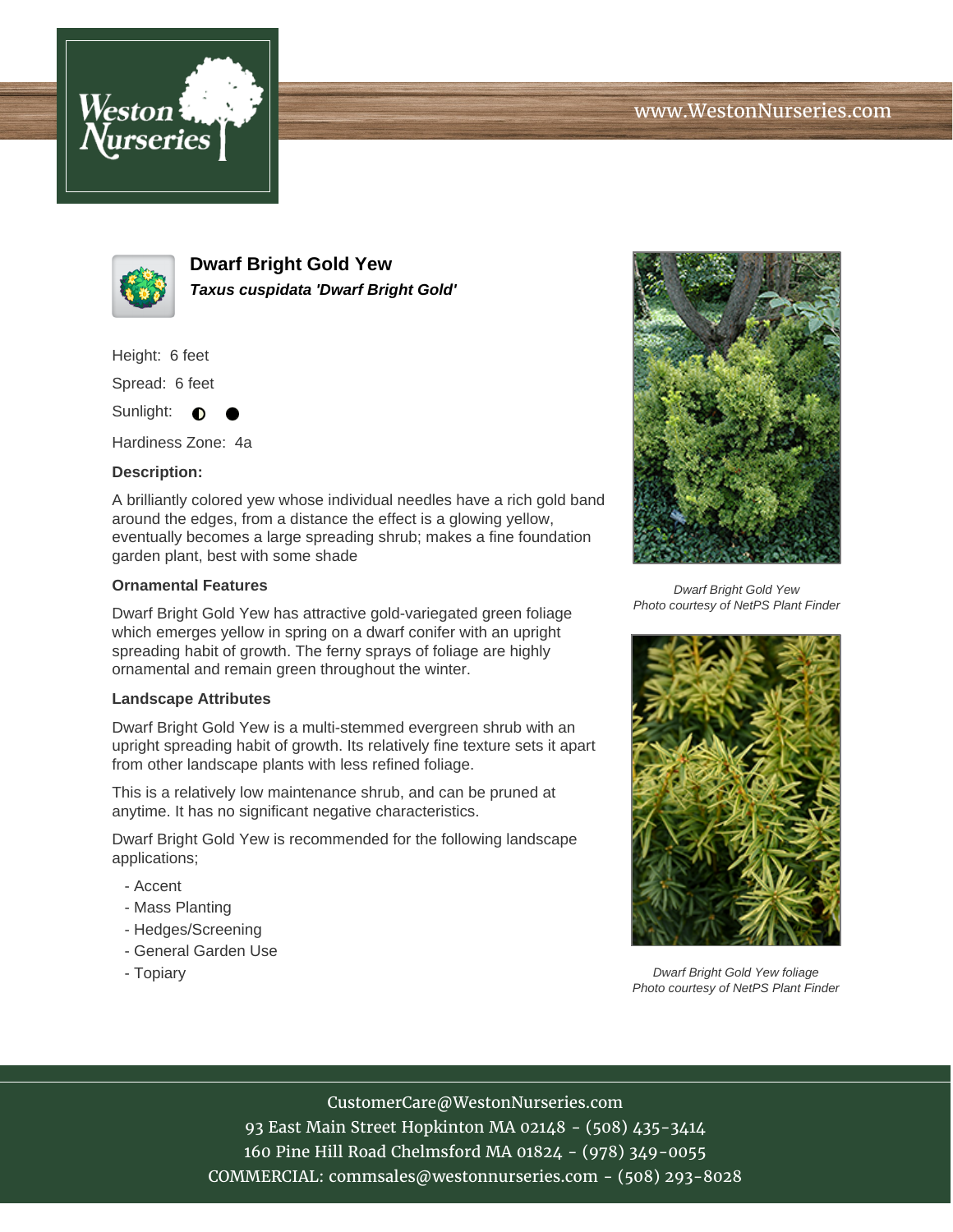



**Dwarf Bright Gold Yew Taxus cuspidata 'Dwarf Bright Gold'**

Height: 6 feet

Spread: 6 feet

Sunlight:  $\bullet$ 

Hardiness Zone: 4a

## **Description:**

A brilliantly colored yew whose individual needles have a rich gold band around the edges, from a distance the effect is a glowing yellow, eventually becomes a large spreading shrub; makes a fine foundation garden plant, best with some shade

## **Ornamental Features**

Dwarf Bright Gold Yew has attractive gold-variegated green foliage which emerges yellow in spring on a dwarf conifer with an upright spreading habit of growth. The ferny sprays of foliage are highly ornamental and remain green throughout the winter.

## **Landscape Attributes**

Dwarf Bright Gold Yew is a multi-stemmed evergreen shrub with an upright spreading habit of growth. Its relatively fine texture sets it apart from other landscape plants with less refined foliage.

This is a relatively low maintenance shrub, and can be pruned at anytime. It has no significant negative characteristics.

Dwarf Bright Gold Yew is recommended for the following landscape applications;

- Accent
- Mass Planting
- Hedges/Screening
- General Garden Use
- Topiary



Dwarf Bright Gold Yew Photo courtesy of NetPS Plant Finder



Dwarf Bright Gold Yew foliage Photo courtesy of NetPS Plant Finder

CustomerCare@WestonNurseries.com

93 East Main Street Hopkinton MA 02148 - (508) 435-3414 160 Pine Hill Road Chelmsford MA 01824 - (978) 349-0055 COMMERCIAL: commsales@westonnurseries.com - (508) 293-8028